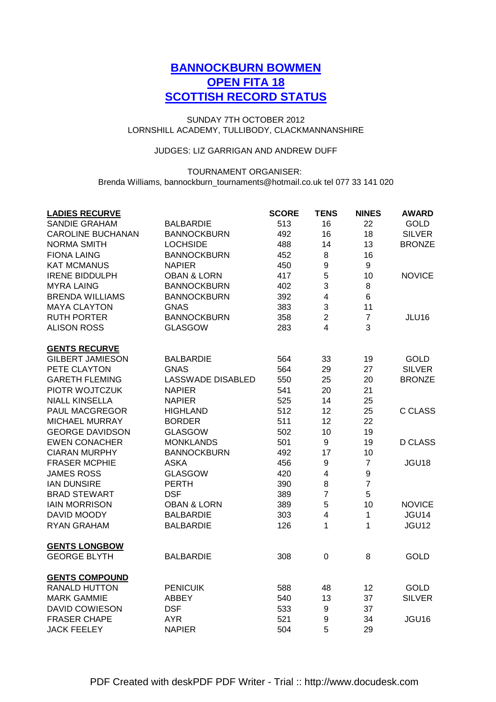# **BANNOCKBURN BOWMEN OPEN FITA 18 SCOTTISH RECORD STATUS**

## LORNSHILL ACADEMY, TULLIBODY, CLACKMANNANSHIRE SUNDAY 7TH OCTOBER 2012

## JUDGES: LIZ GARRIGAN AND ANDREW DUFF

## TOURNAMENT ORGANISER: Brenda Williams, bannockburn\_tournaments@hotmail.co.uk tel 077 33 141 020

| <b>LADIES RECURVE</b>    |                          | <b>SCORE</b> | <b>TENS</b>             | <b>NINES</b>     | <b>AWARD</b>   |
|--------------------------|--------------------------|--------------|-------------------------|------------------|----------------|
| <b>SANDIE GRAHAM</b>     | <b>BALBARDIE</b>         | 513          | 16                      | 22               | <b>GOLD</b>    |
| <b>CAROLINE BUCHANAN</b> | <b>BANNOCKBURN</b>       | 492          | 16                      | 18               | <b>SILVER</b>  |
| <b>NORMA SMITH</b>       | <b>LOCHSIDE</b>          | 488          | 14                      | 13               | <b>BRONZE</b>  |
| <b>FIONA LAING</b>       | <b>BANNOCKBURN</b>       | 452          | 8                       | 16               |                |
| <b>KAT MCMANUS</b>       | <b>NAPIER</b>            | 450          | 9                       | $\boldsymbol{9}$ |                |
| <b>IRENE BIDDULPH</b>    | <b>OBAN &amp; LORN</b>   | 417          | 5                       | 10               | <b>NOVICE</b>  |
| <b>MYRA LAING</b>        | <b>BANNOCKBURN</b>       | 402          | 3                       | 8                |                |
| <b>BRENDA WILLIAMS</b>   | <b>BANNOCKBURN</b>       | 392          | $\overline{\mathbf{4}}$ | $\,6$            |                |
| <b>MAYA CLAYTON</b>      | <b>GNAS</b>              | 383          | 3                       | 11               |                |
| <b>RUTH PORTER</b>       | <b>BANNOCKBURN</b>       | 358          | $\overline{2}$          | $\overline{7}$   | JLU16          |
| <b>ALISON ROSS</b>       | <b>GLASGOW</b>           | 283          | 4                       | 3                |                |
| <b>GENTS RECURVE</b>     |                          |              |                         |                  |                |
| <b>GILBERT JAMIESON</b>  | <b>BALBARDIE</b>         | 564          | 33                      | 19               | <b>GOLD</b>    |
| PETE CLAYTON             | <b>GNAS</b>              | 564          | 29                      | 27               | <b>SILVER</b>  |
| <b>GARETH FLEMING</b>    | <b>LASSWADE DISABLED</b> | 550          | 25                      | 20               | <b>BRONZE</b>  |
| PIOTR WOJTCZUK           | <b>NAPIER</b>            | 541          | 20                      | 21               |                |
| <b>NIALL KINSELLA</b>    | <b>NAPIER</b>            | 525          | 14                      | 25               |                |
| PAUL MACGREGOR           | <b>HIGHLAND</b>          | 512          | 12                      | 25               | <b>C CLASS</b> |
| <b>MICHAEL MURRAY</b>    | <b>BORDER</b>            | 511          | 12                      | 22               |                |
| <b>GEORGE DAVIDSON</b>   | <b>GLASGOW</b>           | 502          | 10                      | 19               |                |
| <b>EWEN CONACHER</b>     | MONKLANDS                | 501          | $\boldsymbol{9}$        | 19               | <b>D CLASS</b> |
| <b>CIARAN MURPHY</b>     | <b>BANNOCKBURN</b>       | 492          | 17                      | 10               |                |
| <b>FRASER MCPHIE</b>     | <b>ASKA</b>              | 456          | 9                       | $\overline{7}$   | JGU18          |
| <b>JAMES ROSS</b>        | <b>GLASGOW</b>           | 420          | $\overline{\mathbf{4}}$ | $\boldsymbol{9}$ |                |
| <b>IAN DUNSIRE</b>       | <b>PERTH</b>             | 390          | 8                       | $\overline{7}$   |                |
| <b>BRAD STEWART</b>      | <b>DSF</b>               | 389          | $\overline{7}$          | 5                |                |
| <b>IAIN MORRISON</b>     | <b>OBAN &amp; LORN</b>   | 389          | 5                       | 10               | <b>NOVICE</b>  |
| DAVID MOODY              | <b>BALBARDIE</b>         | 303          | $\overline{\mathbf{4}}$ | $\mathbf{1}$     | JGU14          |
| <b>RYAN GRAHAM</b>       | <b>BALBARDIE</b>         | 126          | $\mathbf 1$             | 1                | JGU12          |
| <b>GENTS LONGBOW</b>     |                          |              |                         |                  |                |
| <b>GEORGE BLYTH</b>      | <b>BALBARDIE</b>         | 308          | $\boldsymbol{0}$        | 8                | <b>GOLD</b>    |
| <b>GENTS COMPOUND</b>    |                          |              |                         |                  |                |
| <b>RANALD HUTTON</b>     | <b>PENICUIK</b>          | 588          | 48                      | 12               | <b>GOLD</b>    |
| <b>MARK GAMMIE</b>       | ABBEY                    | 540          | 13                      | 37               | <b>SILVER</b>  |
| <b>DAVID COWIESON</b>    | <b>DSF</b>               | 533          | $\boldsymbol{9}$        | 37               |                |
| <b>FRASER CHAPE</b>      | <b>AYR</b>               | 521          | 9                       | 34               | JGU16          |
| <b>JACK FEELEY</b>       | <b>NAPIER</b>            | 504          | 5                       | 29               |                |